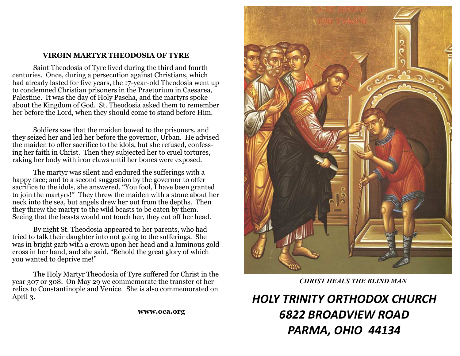#### **VIRGIN MARTYR THEODOSIA OF TYRE**

 Saint Theodosia of Tyre lived during the third and fourth centuries. Once, during a persecution against Christians, which had already lasted for five years, the 17-year-old Theodosia went up to condemned Christian prisoners in the Praetorium in Caesarea, Palestine. It was the day of Holy Pascha, and the martyrs spoke about the Kingdom of God. St. Theodosia asked them to remember her before the Lord, when they should come to stand before Him.

 Soldiers saw that the maiden bowed to the prisoners, and they seized her and led her before the governor, Urban. He advised the maiden to offer sacrifice to the idols, but she refused, confessing her faith in Christ. Then they subjected her to cruel tortures, raking her body with iron claws until her bones were exposed.

 The martyr was silent and endured the sufferings with a happy face; and to a second suggestion by the governor to offer sacrifice to the idols, she answered, "You fool, I have been granted to join the martyrs!" They threw the maiden with a stone about her neck into the sea, but angels drew her out from the depths. Then they threw the martyr to the wild beasts to be eaten by them. Seeing that the beasts would not touch her, they cut off her head.

 By night St. Theodosia appeared to her parents, who had tried to talk their daughter into not going to the sufferings. She was in bright garb with a crown upon her head and a luminous gold cross in her hand, and she said, "Behold the great glory of which you wanted to deprive me!"

 The Holy Martyr Theodosia of Tyre suffered for Christ in the year 307 or 308. On May 29 we commemorate the transfer of her relics to Constantinople and Venice. She is also commemorated on April 3.

**www.oca.org** 



*CHRIST HEALS THE BLIND MAN*

*HOLY TRINITY ORTHODOX CHURCH 6822 BROADVIEW ROAD PARMA, OHIO 44134*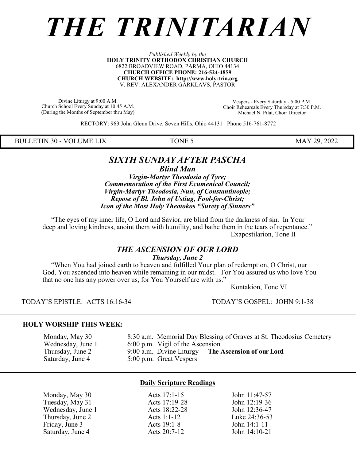# *THE TRINITARIAN*

#### *Published Weekly by the* **HOLY TRINITY ORTHODOX CHRISTIAN CHURCH** 6822 BROADVIEW ROAD, PARMA, OHIO 44134 **CHURCH OFFICE PHONE: 216-524-4859 CHURCH WEBSITE: http://www.holy-trin.org** V. REV. ALEXANDER GARKLAVS, PASTOR

Divine Liturgy at 9:00 A.M. Church School Every Sunday at 10:45 A.M. (During the Months of September thru May)

Vespers - Every Saturday - 5:00 P.M. Choir Rehearsals Every Thursday at 7:30 P.M. Michael N. Pilat, Choir Director

RECTORY: 963 John Glenn Drive, Seven Hills, Ohio 44131 Phone 516-761-8772

BULLETIN 30 - VOLUME LIX TONE 5 MAY 29, 2022

#### *SIXTH SUNDAY AFTER PASCHA Blind Man*

*Virgin-Martyr Theodosia of Tyre; Commemoration of the First Ecumenical Council; Virgin-Martyr Theodosia, Nun, of Constantinople; Repose of Bl. John of Ustiug, Fool-for-Christ; Icon of the Most Holy Theotokos "Surety of Sinners"*

 "The eyes of my inner life, O Lord and Savior, are blind from the darkness of sin. In Your deep and loving kindness, anoint them with humility, and bathe them in the tears of repentance." Exapostilarion, Tone II

#### *THE ASCENSION OF OUR LORD Thursday, June 2*

 "When You had joined earth to heaven and fulfilled Your plan of redemption, O Christ, our God, You ascended into heaven while remaining in our midst. For You assured us who love You that no one has any power over us, for You Yourself are with us."

Kontakion, Tone VI

TODAY'S EPISTLE: ACTS 16:16-34 TODAY'S GOSPEL: JOHN 9:1-38

#### **HOLY WORSHIP THIS WEEK:**

 Monday, May 30 8:30 a.m. Memorial Day Blessing of Graves at St. Theodosius Cemetery Wednesday, June 1 6:00 p.m. Vigil of the Ascension<br>Thursday, June 2 9:00 a.m. Divine Liturgy - The 9:00 a.m. Divine Liturgy - The Ascension of our Lord Saturday, June 4 5:00 p.m. Great Vespers

#### **Daily Scripture Readings**

| Monday, May 30    |  |
|-------------------|--|
| Tuesday, May 31   |  |
| Wednesday, June 1 |  |
| Thursday, June 2  |  |
| Friday, June 3    |  |
| Saturday, June 4  |  |

Acts 17:1-15 John 11:47-57 Acts 17:19-28 John 12:19-36 Acts 18:22-28 John 12:36-47 Acts 1:1-12 Luke 24:36-53 Friday, June 3 **Acts 19:1-8** John 14:1-11 Acts 20:7-12 John 14:10-21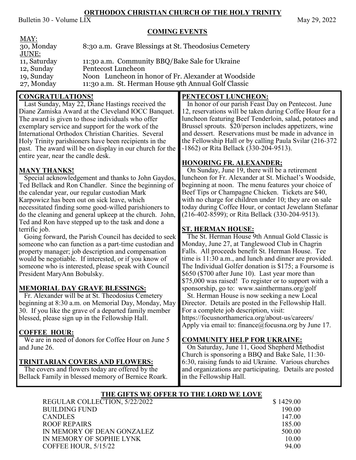#### **ORTHODOX CHRISTIAN CHURCH OF THE HOLY TRINITY**

Bulletin 30 - Volume LIX May 29, 2022

#### **COMING EVENTS**

| MAY:         |                                                      |
|--------------|------------------------------------------------------|
| 30, Monday   | 8:30 a.m. Grave Blessings at St. Theodosius Cemetery |
| JUNE:        |                                                      |
| 11, Saturday | 11:30 a.m. Community BBQ/Bake Sale for Ukraine       |
| 12, Sunday   | Pentecost Luncheon                                   |
| 19, Sunday   | Noon Luncheon in honor of Fr. Alexander at Woodside  |
| 27, Monday   | 11:30 a.m. St. Herman House 9th Annual Golf Classic  |
|              |                                                      |

### **CONGRATULATIONS!**

 Last Sunday, May 22, Diane Hastings received the Diane Zamiska Award at the Cleveland IOCC Banquet. The award is given to those individuals who offer exemplary service and support for the work of the International Orthodox Christian Charities. Several Holy Trinity parishioners have been recipients in the past. The award will be on display in our church for the entire year, near the candle desk.

# **MANY THANKS!**

 Special acknowledgement and thanks to John Gaydos, Ted Bellack and Ron Chandler. Since the beginning of the calendar year, our regular custodian Mark Karpowicz has been out on sick leave, which necessitated finding some good-willed parishioners to do the cleaning and general upkeep at the church. John, Ted and Ron have stepped up to the task and done a terrific job.

 Going forward, the Parish Council has decided to seek someone who can function as a part-time custodian and property manager; job description and compensation would be negotiable. If interested, or if you know of someone who is interested, please speak with Council President MaryAnn Bobulsky.

### **MEMORIAL DAY GRAVE BLESSINGS:**

 Fr. Alexander will be at St. Theodosius Cemetery beginning at 8:30 a.m. on Memorial Day, Monday, May 30. If you like the grave of a departed family member blessed, please sign up in the Fellowship Hall.

### **COFFEE HOUR:**

 We are in need of donors for Coffee Hour on June 5 and June 26.

### **TRINITARIAN COVERS AND FLOWERS:**

 The covers and flowers today are offered by the Bellack Family in blessed memory of Bernice Roark.

# **PENTECOST LUNCHEON:**

 In honor of our parish Feast Day on Pentecost. June 12, reservations will be taken during Coffee Hour for a luncheon featuring Beef Tenderloin, salad, potatoes and Brussel sprouts. \$20/person includes appetizers, wine and dessert. Reservations must be made in advance in the Fellowship Hall or by calling Paula Svilar (216-372 -1862) or Rita Bellack (330-204-9513).

# **HONORING FR. ALEXANDER;**

 On Sunday, June 19, there will be a retirement luncheon for Fr. Alexander at St. Michael's Woodside, beginning at noon. The menu features your choice of Beef Tips or Champagne Chicken. Tickets are \$40, with no charge for children under 10; they are on sale today during Coffee Hour, or contact Jewelann Stefanar (216-402-8599); or Rita Bellack (330-204-9513).

# **ST. HERMAN HOUSE:**

 The St. Herman House 9th Annual Gold Classic is Monday, June 27, at Tanglewood Club in Chagrin Falls. All proceeds benefit St. Herman House. Tee time is 11:30 a.m., and lunch and dinner are provided. The Individual Golfer donation is \$175; a Foursome is \$650 (\$700 after June 10). Last year more than \$75,000 was raised! To register or to support with a sponsorship, go to: www.sainthermans.org/golf

 St. Herman House is now seeking a new Local Director. Details are posted in the Fellowship Hall. For a complete job description, visit:

https://focusnorthamerica.org/about-us/careers/ Apply via email to: finance@focusna.org by June 17.

### **COMMUNITY HELP FOR UKRAINE:**

 On Saturday, June 11, Good Shepherd Methodist Church is sponsoring a BBQ and Bake Sale, 11:30- 6:30, raising funds to aid Ukraine. Various churches and organizations are participating. Details are posted in the Fellowship Hall.

### **THE GIFTS WE OFFER TO THE LORD WE LOVE**

| REGULAR COLLECTION, 5/22/2022 | \$1429.00 |
|-------------------------------|-----------|
| <b>BUILDING FUND</b>          | 190.00    |
| <b>CANDLES</b>                | 147.00    |
| <b>ROOF REPAIRS</b>           | 185.00    |
| IN MEMORY OF DEAN GONZALEZ    | 500.00    |
| IN MEMORY OF SOPHIE LYNK      | 10.00     |
| COFFEE HOUR, 5/15/22          | 94.00     |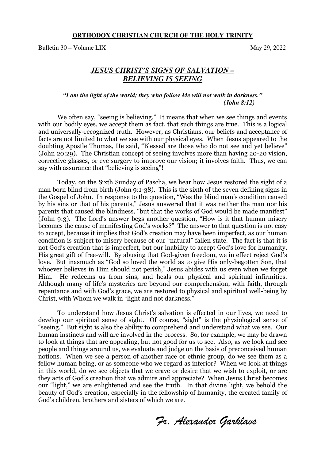#### **ORTHODOX CHRISTIAN CHURCH OF THE HOLY TRINITY**

Bulletin 30 – Volume LIX May 29, 2022

#### *JESUS CHRIST'S SIGNS OF SALVATION – BELIEVING IS SEEING*

#### *"I am the light of the world; they who follow Me will not walk in darkness." (John 8:12)*

We often say, "seeing is believing." It means that when we see things and events with our bodily eyes, we accept them as fact, that such things are true. This is a logical and universally-recognized truth. However, as Christians, our beliefs and acceptance of facts are not limited to what we see with our physical eyes. When Jesus appeared to the doubting Apostle Thomas, He said, "Blessed are those who do not see and yet believe" (John 20:29). The Christian concept of seeing involves more than having 20-20 vision, corrective glasses, or eye surgery to improve our vision; it involves faith. Thus, we can say with assurance that "believing is seeing"!

 Today, on the Sixth Sunday of Pascha, we hear how Jesus restored the sight of a man born blind from birth (John 9:1-38). This is the sixth of the seven defining signs in the Gospel of John. In response to the question, "Was the blind man's condition caused by his sins or that of his parents," Jesus answered that it was neither the man nor his parents that caused the blindness, "but that the works of God would be made manifest" (John 9:3). The Lord's answer begs another question, "How is it that human misery becomes the cause of manifesting God's works?" The answer to that question is not easy to accept, because it implies that God's creation may have been imperfect, as our human condition is subject to misery because of our "natural" fallen state. The fact is that it is not God's creation that is imperfect, but our inability to accept God's love for humanity, His great gift of free-will. By abusing that God-given freedom, we in effect reject God's love. But inasmuch as "God so loved the world as to give His only-begotten Son, that whoever believes in Him should not perish," Jesus abides with us even when we forget Him. He redeems us from sins, and heals our physical and spiritual infirmities. Although many of life's mysteries are beyond our comprehension, with faith, through repentance and with God's grace, we are restored to physical and spiritual well-being by Christ, with Whom we walk in "light and not darkness."

To understand how Jesus Christ's salvation is effected in our lives, we need to develop our spiritual sense of sight. Of course, "sight" is the physiological sense of "seeing." But sight is also the ability to comprehend and understand what we see. Our human instincts and will are involved in the process. So, for example, we may be drawn to look at things that are appealing, but not good for us to see. Also, as we look and see people and things around us, we evaluate and judge on the basis of preconceived human notions. When we see a person of another race or ethnic group, do we see them as a fellow human being, or as someone who we regard as inferior? When we look at things in this world, do we see objects that we crave or desire that we wish to exploit, or are they acts of God's creation that we admire and appreciate? When Jesus Christ becomes our "light," we are enlightened and see the truth. In that divine light, we behold the beauty of God's creation, especially in the fellowship of humanity, the created family of God's children, brothers and sisters of which we are.

*Fr. Alexander Garklavs*